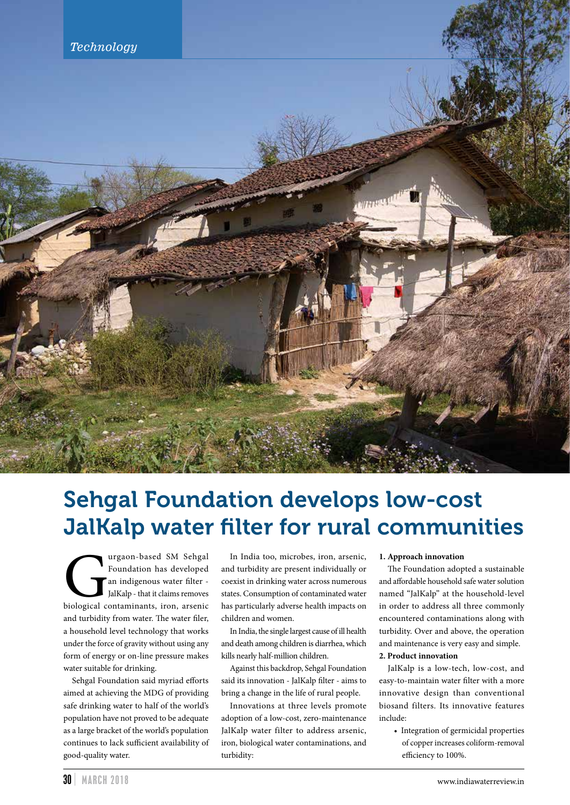

# Sehgal Foundation develops low-cost JalKalp water filter for rural communities

The Universal SM Sehgal Foundation has developed an indigenous water filter JalKalp - that it claims removes biological contaminants, iron, arsenic Foundation has developed an indigenous water filter - JalKalp - that it claims removes and turbidity from water. The water filer, a household level technology that works under the force of gravity without using any form of energy or on-line pressure makes water suitable for drinking.

Sehgal Foundation said myriad efforts aimed at achieving the MDG of providing safe drinking water to half of the world's population have not proved to be adequate as a large bracket of the world's population continues to lack sufficient availability of good-quality water.

In India too, microbes, iron, arsenic, and turbidity are present individually or coexist in drinking water across numerous states. Consumption of contaminated water has particularly adverse health impacts on children and women.

In India, the single largest cause of ill health and death among children is diarrhea, which kills nearly half-million children.

Against this backdrop, Sehgal Foundation said its innovation - JalKalp filter - aims to bring a change in the life of rural people.

Innovations at three levels promote adoption of a low-cost, zero-maintenance JalKalp water filter to address arsenic, iron, biological water contaminations, and turbidity:

#### **1. Approach innovation**

The Foundation adopted a sustainable and affordable household safe water solution named "JalKalp" at the household-level in order to address all three commonly encountered contaminations along with turbidity. Over and above, the operation and maintenance is very easy and simple.

## **2. Product innovation**

JalKalp is a low-tech, low-cost, and easy-to-maintain water filter with a more innovative design than conventional biosand filters. Its innovative features include:

 • Integration of germicidal properties of copper increases coliform-removal efficiency to 100%.